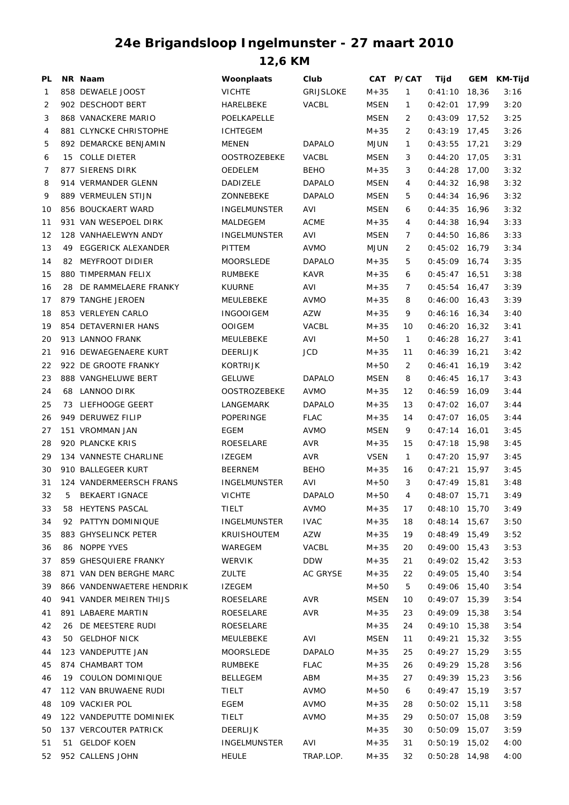## **24e Brigandsloop Ingelmunster - 27 maart 2010**

**12,6 KM**

| PL |    | NR Naam                   | Woonplaats          | Club             |             | CAT P/CAT      | Tijd            |       | GEM KM-Tijd |
|----|----|---------------------------|---------------------|------------------|-------------|----------------|-----------------|-------|-------------|
| 1  |    | 858 DEWAELE JOOST         | <b>VICHTE</b>       | <b>GRIJSLOKE</b> | $M + 35$    | $\mathbf{1}$   | 0:41:10         | 18,36 | 3:16        |
| 2  |    | 902 DESCHODT BERT         | <b>HARELBEKE</b>    | <b>VACBL</b>     | <b>MSEN</b> | $\mathbf{1}$   | $0:42:01$ 17,99 |       | 3:20        |
| 3  |    | 868 VANACKERE MARIO       | POELKAPELLE         |                  | <b>MSEN</b> | 2              | $0:43:09$ 17,52 |       | 3:25        |
| 4  |    | 881 CLYNCKE CHRISTOPHE    | <b>ICHTEGEM</b>     |                  | $M + 35$    | 2              | $0:43:19$ 17,45 |       | 3:26        |
| 5  |    | 892 DEMARCKE BENJAMIN     | <b>MENEN</b>        | <b>DAPALO</b>    | <b>MJUN</b> | 1              | $0:43:55$ 17,21 |       | 3:29        |
| 6  |    | 15 COLLE DIETER           | <b>OOSTROZEBEKE</b> | <b>VACBL</b>     | <b>MSEN</b> | 3              | $0:44:20$ 17,05 |       | 3:31        |
| 7  |    | 877 SIERENS DIRK          | <b>OEDELEM</b>      | <b>BEHO</b>      | $M + 35$    | 3              | $0:44:28$ 17,00 |       | 3:32        |
| 8  |    | 914 VERMANDER GLENN       | <b>DADIZELE</b>     | <b>DAPALO</b>    | <b>MSEN</b> | 4              | $0:44:32$ 16,98 |       | 3:32        |
| 9  |    | 889 VERMEULEN STIJN       | ZONNEBEKE           | <b>DAPALO</b>    | <b>MSEN</b> | 5              | $0:44:34$ 16,96 |       | 3:32        |
| 10 |    | 856 BOUCKAERT WARD        | <b>INGELMUNSTER</b> | AVI              | <b>MSEN</b> | 6              | $0:44:35$ 16,96 |       | 3:32        |
| 11 |    | 931 VAN WESEPOEL DIRK     | MALDEGEM            | <b>ACME</b>      | $M + 35$    | 4              | $0:44:38$ 16,94 |       | 3:33        |
| 12 |    | 128 VANHAELEWYN ANDY      | <b>INGELMUNSTER</b> | AVI              | MSEN        | $\overline{7}$ | $0:44:50$ 16,86 |       | 3:33        |
| 13 |    | 49 EGGERICK ALEXANDER     | PITTEM              | <b>AVMO</b>      | <b>MJUN</b> | 2              | $0:45:02$ 16,79 |       | 3:34        |
| 14 | 82 | <b>MEYFROOT DIDIER</b>    | <b>MOORSLEDE</b>    | <b>DAPALO</b>    | $M + 35$    | 5              | $0:45:09$ 16,74 |       | 3:35        |
| 15 |    | 880 TIMPERMAN FELIX       | <b>RUMBEKE</b>      | <b>KAVR</b>      | $M + 35$    | 6              | $0:45:47$ 16,51 |       | 3:38        |
| 16 |    | 28 DE RAMMELAERE FRANKY   | <b>KUURNE</b>       | AVI              | $M + 35$    | 7              | $0:45:54$ 16,47 |       | 3:39        |
| 17 |    | 879 TANGHE JEROEN         | MEULEBEKE           | <b>AVMO</b>      | $M + 35$    | 8              | $0:46:00$ 16,43 |       | 3:39        |
| 18 |    | 853 VERLEYEN CARLO        | <b>INGOOIGEM</b>    | AZW              | $M + 35$    | 9              | $0:46:16$ 16,34 |       | 3:40        |
|    |    | 854 DETAVERNIER HANS      |                     |                  |             |                |                 |       |             |
| 19 |    |                           | <b>OOIGEM</b>       | <b>VACBL</b>     | $M + 35$    | 10             | $0:46:20$ 16,32 |       | 3:41        |
| 20 |    | 913 LANNOO FRANK          | MEULEBEKE           | AVI              | $M + 50$    | $\mathbf{1}$   | $0:46:28$ 16,27 |       | 3:41        |
| 21 |    | 916 DEWAEGENAERE KURT     | <b>DEERLIJK</b>     | JCD              | $M + 35$    | 11             | $0:46:39$ 16,21 |       | 3:42        |
| 22 |    | 922 DE GROOTE FRANKY      | <b>KORTRIJK</b>     |                  | $M + 50$    | 2              | $0:46:41$ 16,19 |       | 3:42        |
| 23 |    | 888 VANGHELUWE BERT       | <b>GELUWE</b>       | <b>DAPALO</b>    | <b>MSEN</b> | 8              | $0:46:45$ 16,17 |       | 3:43        |
| 24 |    | 68 LANNOO DIRK            | <b>OOSTROZEBEKE</b> | <b>AVMO</b>      | $M + 35$    | 12             | $0:46:59$ 16,09 |       | 3:44        |
| 25 |    | 73 LIEFHOOGE GEERT        | LANGEMARK           | <b>DAPALO</b>    | $M + 35$    | 13             | $0:47:02$ 16,07 |       | 3:44        |
| 26 |    | 949 DERUWEZ FILIP         | POPERINGE           | <b>FLAC</b>      | $M + 35$    | 14             | $0:47:07$ 16,05 |       | 3:44        |
| 27 |    | 151 VROMMAN JAN           | EGEM                | <b>AVMO</b>      | <b>MSEN</b> | 9              | $0:47:14$ 16,01 |       | 3:45        |
| 28 |    | 920 PLANCKE KRIS          | ROESELARE           | <b>AVR</b>       | $M + 35$    | 15             | $0:47:18$ 15,98 |       | 3:45        |
| 29 |    | 134 VANNESTE CHARLINE     | <b>IZEGEM</b>       | <b>AVR</b>       | <b>VSEN</b> | $\mathbf{1}$   | $0:47:20$ 15,97 |       | 3:45        |
| 30 |    | 910 BALLEGEER KURT        | <b>BEERNEM</b>      | <b>BEHO</b>      | $M + 35$    | 16             | $0:47:21$ 15,97 |       | 3:45        |
| 31 |    | 124 VANDERMEERSCH FRANS   | INGELMUNSTER        | AVI              | $M + 50$    | 3              | $0:47:49$ 15,81 |       | 3:48        |
| 32 | 5  | <b>BEKAERT IGNACE</b>     | <b>VICHTE</b>       | <b>DAPALO</b>    | $M + 50$    | 4              | $0:48:07$ 15,71 |       | 3:49        |
| 33 |    | 58 HEYTENS PASCAL         | TIELT               | <b>AVMO</b>      | $M + 35$    | 17             | $0:48:10$ 15,70 |       | 3:49        |
| 34 |    | 92 PATTYN DOMINIQUE       | INGELMUNSTER        | <b>IVAC</b>      | $M + 35$    | 18             | $0:48:14$ 15,67 |       | 3:50        |
| 35 |    | 883 GHYSELINCK PETER      | <b>KRUISHOUTEM</b>  | AZW              | $M + 35$    | 19             | $0:48:49$ 15,49 |       | 3:52        |
| 36 |    | 86 NOPPE YVES             | WAREGEM             | VACBL            | $M + 35$    | 20             | $0:49:00$ 15,43 |       | 3:53        |
| 37 |    | 859 GHESQUIERE FRANKY     | WERVIK              | DDW              | $M + 35$    | 21             | $0:49:02$ 15,42 |       | 3:53        |
| 38 |    | 871 VAN DEN BERGHE MARC   | <b>ZULTE</b>        | AC GRYSE         | $M + 35$    | 22             | $0:49:05$ 15,40 |       | 3:54        |
| 39 |    | 866 VANDENWAETERE HENDRIK | IZEGEM              |                  | $M + 50$    | 5              | $0:49:06$ 15,40 |       | 3:54        |
| 40 |    | 941 VANDER MEIREN THIJS   | ROESELARE           | <b>AVR</b>       | <b>MSEN</b> | 10             | $0:49:07$ 15,39 |       | 3:54        |
| 41 |    | 891 LABAERE MARTIN        | ROESELARE           | <b>AVR</b>       | $M + 35$    | 23             | $0:49:09$ 15,38 |       | 3:54        |
| 42 |    | 26 DE MEESTERE RUDI       | ROESELARE           |                  | $M + 35$    | 24             | $0:49:10$ 15,38 |       | 3:54        |
| 43 |    | 50 GELDHOF NICK           | MEULEBEKE           | AVI              | MSEN        | 11             | $0:49:21$ 15,32 |       | 3:55        |
| 44 |    | 123 VANDEPUTTE JAN        | <b>MOORSLEDE</b>    | DAPALO           | $M + 35$    | 25             | $0:49:27$ 15,29 |       | 3:55        |
| 45 |    | 874 CHAMBART TOM          | RUMBEKE             | <b>FLAC</b>      | $M + 35$    | 26             | $0:49:29$ 15,28 |       | 3:56        |
| 46 |    | 19 COULON DOMINIQUE       | <b>BELLEGEM</b>     | ABM              | $M + 35$    | 27             | $0:49:39$ 15,23 |       | 3:56        |
| 47 |    | 112 VAN BRUWAENE RUDI     | <b>TIELT</b>        | AVMO             | $M + 50$    | 6              | $0:49:47$ 15,19 |       | 3:57        |
| 48 |    | 109 VACKIER POL           | EGEM                | AVMO             | $M + 35$    | 28             | $0:50:02$ 15,11 |       | 3:58        |
| 49 |    | 122 VANDEPUTTE DOMINIEK   | TIELT               | AVMO             | $M + 35$    | 29             | $0:50:07$ 15,08 |       | 3:59        |
| 50 |    | 137 VERCOUTER PATRICK     | <b>DEERLIJK</b>     |                  | $M + 35$    | 30             | $0:50:09$ 15,07 |       | 3:59        |
| 51 |    | 51 GELDOF KOEN            | INGELMUNSTER        | AVI              | $M + 35$    | 31             | $0:50:19$ 15,02 |       | 4:00        |
| 52 |    | 952 CALLENS JOHN          | <b>HEULE</b>        | TRAP.LOP.        | $M + 35$    | 32             | $0:50:28$ 14,98 |       | 4:00        |
|    |    |                           |                     |                  |             |                |                 |       |             |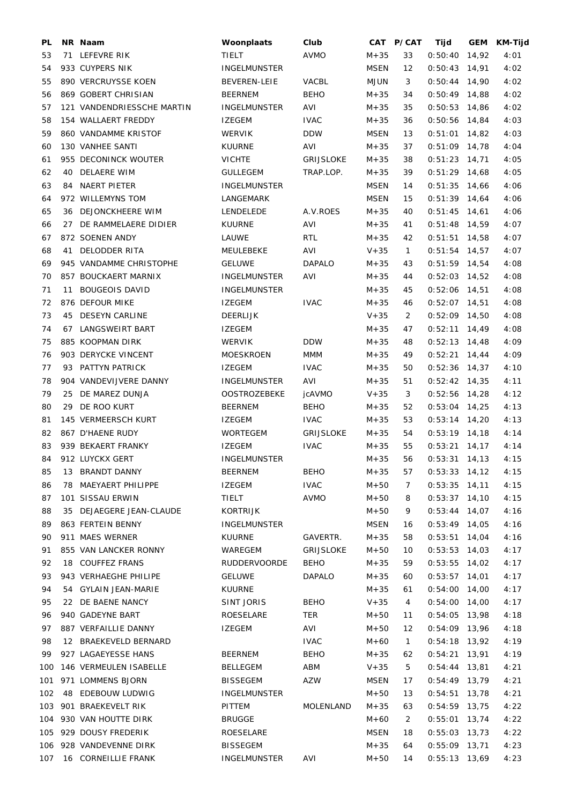| PL       | NR Naam                    | Woonplaats          | Club                         |                      | CAT P/CAT         | Tijd                               | GEM | KM-Tijd |
|----------|----------------------------|---------------------|------------------------------|----------------------|-------------------|------------------------------------|-----|---------|
| 53       | 71 LEFEVRE RIK             | TIELT               | <b>AVMO</b>                  | $M + 35$             | 33                | $0:50:40$ 14,92                    |     | 4:01    |
| 54       | 933 CUYPERS NIK            | <b>INGELMUNSTER</b> |                              | <b>MSEN</b>          | $12 \overline{ }$ | $0:50:43$ 14,91                    |     | 4:02    |
| 55       | 890 VERCRUYSSE KOEN        | BEVEREN-LEIE        | VACBL                        | <b>MJUN</b>          | 3                 | $0:50:44$ 14,90                    |     | 4:02    |
| 56       | 869 GOBERT CHRISIAN        | <b>BEERNEM</b>      | <b>BEHO</b>                  | $M + 35$             | 34                | $0:50:49$ 14,88                    |     | 4:02    |
| 57       | 121 VANDENDRIESSCHE MARTIN | <b>INGELMUNSTER</b> | AVI                          | $M + 35$             | 35                | $0:50:53$ 14,86                    |     | 4:02    |
| 58       | 154 WALLAERT FREDDY        | <b>IZEGEM</b>       | <b>IVAC</b>                  | $M + 35$             | 36                | $0:50:56$ 14,84                    |     | 4:03    |
| 59       | 860 VANDAMME KRISTOF       | <b>WERVIK</b>       | <b>DDW</b>                   | <b>MSEN</b>          | 13                | $0:51:01$ 14,82                    |     | 4:03    |
| 60       | 130 VANHEE SANTI           | <b>KUURNE</b>       | AVI                          | $M + 35$             | 37                | $0:51:09$ 14,78                    |     | 4:04    |
| 61       | 955 DECONINCK WOUTER       | <b>VICHTE</b>       | <b>GRIJSLOKE</b>             | $M + 35$             | 38                | $0:51:23$ 14,71                    |     | 4:05    |
| 62       | 40 DELAERE WIM             | <b>GULLEGEM</b>     | TRAP.LOP.                    | $M + 35$             | 39                | $0:51:29$ 14,68                    |     | 4:05    |
| 63       | 84 NAERT PIETER            | <b>INGELMUNSTER</b> |                              | <b>MSEN</b>          | 14                | $0:51:35$ 14,66                    |     | 4:06    |
| 64       | 972 WILLEMYNS TOM          | LANGEMARK           |                              | <b>MSEN</b>          | 15                | $0:51:39$ 14,64                    |     | 4:06    |
| 65       | 36 DEJONCKHEERE WIM        | LENDELEDE           | A.V.ROES                     | $M + 35$             | 40                | $0:51:45$ 14,61                    |     | 4:06    |
| 66       | 27 DE RAMMELAERE DIDIER    | <b>KUURNE</b>       | AVI                          | $M + 35$             | 41                | $0:51:48$ 14,59                    |     | 4:07    |
| 67       | 872 SOENEN ANDY            | LAUWE               | <b>RTL</b>                   | $M + 35$             | 42                | $0:51:51$ 14,58                    |     | 4:07    |
| 68       | 41 DELODDER RITA           | MEULEBEKE           | AVI                          | $V + 35$             | $\mathbf{1}$      | $0:51:54$ 14,57                    |     | 4:07    |
| 69       | 945 VANDAMME CHRISTOPHE    | <b>GELUWE</b>       | <b>DAPALO</b>                | $M + 35$             | 43                | $0:51:59$ 14,54                    |     | 4:08    |
| 70       | 857 BOUCKAERT MARNIX       | <b>INGELMUNSTER</b> | AVI                          | $M + 35$             | 44                | $0:52:03$ 14,52                    |     | 4:08    |
| 71       | 11 BOUGEOIS DAVID          | <b>INGELMUNSTER</b> |                              | $M + 35$             | 45                | $0:52:06$ 14,51                    |     | 4:08    |
| 72       | 876 DEFOUR MIKE            | <b>IZEGEM</b>       | <b>IVAC</b>                  | $M + 35$             | 46                | $0:52:07$ 14,51                    |     | 4:08    |
| 73       | 45 DESEYN CARLINE          | <b>DEERLIJK</b>     |                              | $V + 35$             | 2                 | $0:52:09$ 14,50                    |     | 4:08    |
| 74       | 67 LANGSWEIRT BART         | <b>IZEGEM</b>       |                              | $M + 35$             | 47                | $0:52:11$ 14,49                    |     | 4:08    |
| 75       | 885 KOOPMAN DIRK           | <b>WERVIK</b>       | <b>DDW</b>                   | $M + 35$             | 48                | $0:52:13$ 14,48                    |     | 4:09    |
| 76       | 903 DERYCKE VINCENT        | <b>MOESKROEN</b>    | <b>MMM</b>                   | $M + 35$             | 49                | $0:52:21$ 14,44                    |     | 4:09    |
| 77       | 93 PATTYN PATRICK          | <b>IZEGEM</b>       | <b>IVAC</b>                  | $M + 35$             | 50                | $0:52:36$ 14,37                    |     | 4:10    |
| 78       | 904 VANDEVIJVERE DANNY     | <b>INGELMUNSTER</b> | AVI                          | $M + 35$             | 51                | $0:52:42$ 14,35                    |     | 4:11    |
| 79       | 25 DE MAREZ DUNJA          | <b>OOSTROZEBEKE</b> | jcAVMO                       | $V + 35$             | 3                 | $0:52:56$ 14,28                    |     | 4:12    |
| 80       | 29 DE ROO KURT             | <b>BEERNEM</b>      | <b>BEHO</b>                  | $M + 35$             | 52                | $0:53:04$ 14,25                    |     | 4:13    |
| 81       | 145 VERMEERSCH KURT        | <b>IZEGEM</b>       | <b>IVAC</b>                  | $M + 35$             | 53                | $0:53:14$ 14,20                    |     | 4:13    |
| 82       | 867 D'HAENE RUDY           | WORTEGEM            | GRIJSLOKE                    | $M + 35$             | 54                | $0:53:19$ 14,18                    |     | 4:14    |
| 83       | 939 BEKAERT FRANKY         | <b>IZEGEM</b>       | <b>IVAC</b>                  | $M + 35$             | 55                | $0:53:21$ 14,17                    |     | 4:14    |
| 84       | 912 LUYCKX GERT            | <b>INGELMUNSTER</b> |                              | $M + 35$             | 56                | $0:53:31$ 14,13                    |     | 4:15    |
| 85       | 13 BRANDT DANNY            | <b>BEERNEM</b>      | <b>BEHO</b>                  | $M + 35$             | 57                | $0:53:33$ 14,12                    |     | 4:15    |
| 86       | 78 MAEYAERT PHILIPPE       | <b>IZEGEM</b>       | <b>IVAC</b>                  | $M + 50$             | 7                 | $0:53:35$ 14,11                    |     | 4:15    |
| 87       | 101 SISSAU ERWIN           | TIELT               | AVMO                         | $M + 50$             | 8                 | $0:53:37$ 14,10                    |     | 4:15    |
| 88       | 35 DEJAEGERE JEAN-CLAUDE   | KORTRIJK            |                              | $M + 50$             | 9                 | $0:53:44$ 14,07                    |     | 4:16    |
| 89       | 863 FERTEIN BENNY          | <b>INGELMUNSTER</b> |                              | MSEN                 | 16                | $0:53:49$ 14,05                    |     | 4:16    |
|          | 911 MAES WERNER            | <b>KUURNE</b>       |                              |                      |                   |                                    |     | 4:16    |
| 90       | 855 VAN LANCKER RONNY      | WAREGEM             | GAVERTR.<br><b>GRIJSLOKE</b> | $M + 35$             | 58                | $0:53:51$ 14,04<br>$0:53:53$ 14,03 |     | 4:17    |
| 91<br>92 | 18 COUFFEZ FRANS           | <b>RUDDERVOORDE</b> | <b>BEHO</b>                  | $M + 50$<br>$M + 35$ | 10<br>59          | $0:53:55$ 14,02                    |     | 4:17    |
|          | 943 VERHAEGHE PHILIPE      | <b>GELUWE</b>       | <b>DAPALO</b>                |                      |                   |                                    |     |         |
| 93       | 54 GYLAIN JEAN-MARIE       |                     |                              | $M + 35$             | 60                | $0:53:57$ 14,01<br>$0:54:00$ 14,00 |     | 4:17    |
| 94       | 22 DE BAENE NANCY          | KUURNE              | <b>BEHO</b>                  | $M + 35$             | 61                |                                    |     | 4:17    |
| 95       |                            | SINT JORIS          |                              | $V + 35$             | 4                 | $0:54:00$ 14,00                    |     | 4:17    |
| 96       | 940 GADEYNE BART           | ROESELARE           | TER                          | $M + 50$             | 11                | $0:54:05$ 13,98                    |     | 4:18    |
| 97       | 887 VERFAILLIE DANNY       | IZEGEM              | AVI                          | $M + 50$             | 12                | $0:54:09$ 13,96                    |     | 4:18    |
| 98       | 12 BRAEKEVELD BERNARD      |                     | <b>IVAC</b>                  | $M + 60$             | 1                 | $0:54:18$ 13,92                    |     | 4:19    |
| 99       | 927 LAGAEYESSE HANS        | <b>BEERNEM</b>      | <b>BEHO</b>                  | $M + 35$             | 62                | $0:54:21$ 13,91                    |     | 4:19    |
| 100      | 146 VERMEULEN ISABELLE     | <b>BELLEGEM</b>     | ABM                          | $V + 35$             | 5                 | $0:54:44$ 13,81                    |     | 4:21    |
| 101      | 971 LOMMENS BJORN          | <b>BISSEGEM</b>     | AZW                          | MSEN                 | 17                | $0:54:49$ 13,79                    |     | 4:21    |
| 102      | 48 EDEBOUW LUDWIG          | <b>INGELMUNSTER</b> |                              | $M + 50$             | 13                | $0:54:51$ 13,78                    |     | 4:21    |
| 103      | 901 BRAEKEVELT RIK         | PITTEM              | MOLENLAND                    | $M + 35$             | 63                | $0:54:59$ 13,75                    |     | 4:22    |
| 104      | 930 VAN HOUTTE DIRK        | <b>BRUGGE</b>       |                              | $M + 60$             | 2                 | $0:55:01$ 13,74                    |     | 4:22    |
|          | 105 929 DOUSY FREDERIK     | ROESELARE           |                              | <b>MSEN</b>          | 18                | $0:55:03$ 13,73                    |     | 4:22    |
|          | 106 928 VANDEVENNE DIRK    | <b>BISSEGEM</b>     |                              | $M + 35$             | 64                | $0:55:09$ 13,71                    |     | 4:23    |
|          | 107 16 CORNEILLIE FRANK    | <b>INGELMUNSTER</b> | AVI                          | $M + 50$             | 14                | $0:55:13$ 13,69                    |     | 4:23    |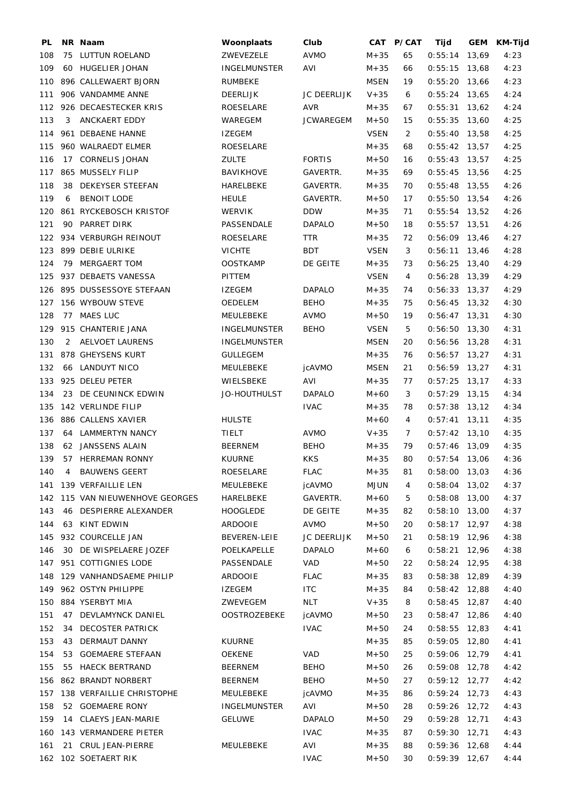| PL  |   | NR Naam                         | Woonplaats          | Club               |             | CAT P/CAT      | Tijd            | GEM KM-Tijd |
|-----|---|---------------------------------|---------------------|--------------------|-------------|----------------|-----------------|-------------|
| 108 |   | 75 LUTTUN ROELAND               | ZWEVEZELE           | <b>AVMO</b>        | $M + 35$    | 65             | $0:55:14$ 13,69 | 4:23        |
| 109 |   | 60 HUGELIER JOHAN               | <b>INGELMUNSTER</b> | AVI                | $M + 35$    | 66             | $0:55:15$ 13,68 | 4:23        |
|     |   | 110 896 CALLEWAERT BJORN        | <b>RUMBEKE</b>      |                    | MSEN        | 19             | $0:55:20$ 13,66 | 4:23        |
| 111 |   | 906 VANDAMME ANNE               | DEERLIJK            | <b>JC DEERLIJK</b> | $V + 35$    | 6              | $0:55:24$ 13,65 | 4:24        |
|     |   | 112 926 DECAESTECKER KRIS       | ROESELARE           | AVR                | $M + 35$    | 67             | $0:55:31$ 13,62 | 4:24        |
| 113 | 3 | ANCKAERT EDDY                   | WAREGEM             | <b>JCWAREGEM</b>   | $M + 50$    | 15             | $0:55:35$ 13,60 | 4:25        |
|     |   | 114 961 DEBAENE HANNE           | <b>IZEGEM</b>       |                    | VSEN        | $\overline{2}$ | $0:55:40$ 13,58 | 4:25        |
| 115 |   | 960 WALRAEDT ELMER              | ROESELARE           |                    | $M + 35$    | 68             | $0:55:42$ 13,57 | 4:25        |
| 116 |   | 17 CORNELIS JOHAN               | <b>ZULTE</b>        | <b>FORTIS</b>      | $M + 50$    | 16             | $0:55:43$ 13,57 | 4:25        |
|     |   | 117 865 MUSSELY FILIP           | <b>BAVIKHOVE</b>    | GAVERTR.           | $M + 35$    | 69             | $0:55:45$ 13,56 | 4:25        |
| 118 |   | 38 DEKEYSER STEEFAN             | HARELBEKE           | GAVERTR.           | $M+35$      | 70             | $0:55:48$ 13,55 | 4:26        |
| 119 | 6 | <b>BENOIT LODE</b>              | <b>HEULE</b>        | GAVERTR.           | $M + 50$    | 17             | $0:55:50$ 13,54 | 4:26        |
|     |   | 120 861 RYCKEBOSCH KRISTOF      | <b>WERVIK</b>       | <b>DDW</b>         | $M + 35$    | 71             | $0:55:54$ 13,52 | 4:26        |
| 121 |   | 90 PARRET DIRK                  | PASSENDALE          | <b>DAPALO</b>      | $M+50$      | 18             | $0:55:57$ 13,51 | 4:26        |
|     |   | 122 934 VERBURGH REINOUT        | ROESELARE           | <b>TTR</b>         | $M + 35$    | 72             | $0:56:09$ 13,46 | 4:27        |
|     |   | 123 899 DEBIE ULRIKE            | <b>VICHTE</b>       | <b>BDT</b>         | <b>VSEN</b> | 3              | $0:56:11$ 13,46 | 4:28        |
| 124 |   | 79 MERGAERT TOM                 | <b>OOSTKAMP</b>     | DE GEITE           | $M + 35$    | 73             | $0:56:25$ 13,40 | 4:29        |
|     |   | 125 937 DEBAETS VANESSA         | PITTEM              |                    | VSEN        | 4              | $0:56:28$ 13,39 | 4:29        |
|     |   | 126 895 DUSSESSOYE STEFAAN      | <b>IZEGEM</b>       | <b>DAPALO</b>      | $M + 35$    | 74             | $0:56:33$ 13,37 | 4:29        |
|     |   | 127 156 WYBOUW STEVE            | OEDELEM             | <b>BEHO</b>        | $M + 35$    | 75             | $0:56:45$ 13,32 | 4:30        |
| 128 |   | 77 MAES LUC                     | MEULEBEKE           | AVMO               | $M + 50$    | 19             | $0:56:47$ 13,31 | 4:30        |
|     |   | 129 915 CHANTERIE JANA          | <b>INGELMUNSTER</b> | <b>BEHO</b>        | VSEN        | 5              | $0:56:50$ 13,30 | 4:31        |
| 130 |   | 2 AELVOET LAURENS               | <b>INGELMUNSTER</b> |                    | <b>MSEN</b> | 20             | $0:56:56$ 13,28 | 4:31        |
| 131 |   | 878 GHEYSENS KURT               | <b>GULLEGEM</b>     |                    | $M + 35$    | 76             | $0:56:57$ 13,27 | 4:31        |
| 132 |   | 66 LANDUYT NICO                 | MEULEBEKE           | jcAVMO             | <b>MSEN</b> | 21             | $0:56:59$ 13,27 | 4:31        |
|     |   | 133 925 DELEU PETER             | WIELSBEKE           | AVI                | $M + 35$    | 77             | $0:57:25$ 13,17 | 4:33        |
| 134 |   | 23 DE CEUNINCK EDWIN            | JO-HOUTHULST        | <b>DAPALO</b>      | $M + 60$    | 3              | $0:57:29$ 13,15 | 4:34        |
|     |   | 135 142 VERLINDE FILIP          |                     | <b>IVAC</b>        | $M + 35$    | 78             | $0:57:38$ 13,12 | 4:34        |
|     |   | 136 886 CALLENS XAVIER          | <b>HULSTE</b>       |                    | $M + 60$    | 4              | $0:57:41$ 13,11 | 4:35        |
| 137 |   | 64 LAMMERTYN NANCY              | <b>TIELT</b>        | <b>AVMO</b>        | $V + 35$    | $7^{\circ}$    | $0:57:42$ 13,10 | 4:35        |
| 138 |   | 62 JANSSENS ALAIN               | <b>BEERNEM</b>      | <b>BEHO</b>        | $M + 35$    | 79             | $0:57:46$ 13,09 | 4:35        |
| 139 |   | 57 HERREMAN RONNY               | <b>KUURNE</b>       | <b>KKS</b>         | $M + 35$    | 80             | $0:57:54$ 13,06 | 4:36        |
| 140 | 4 | <b>BAUWENS GEERT</b>            | ROESELARE           | <b>FLAC</b>        | $M + 35$    | 81             | $0:58:00$ 13,03 | 4:36        |
|     |   | 141 139 VERFAILLIE LEN          | MEULEBEKE           | jcAVMO             | MJUN        | 4              | $0:58:04$ 13,02 | 4:37        |
|     |   | 142 115 VAN NIEUWENHOVE GEORGES | HARELBEKE           | GAVERTR.           | $M + 60$    | 5              | $0:58:08$ 13,00 | 4:37        |
| 143 |   | 46 DESPIERRE ALEXANDER          | HOOGLEDE            | DE GEITE           | $M + 35$    | 82             | $0:58:10$ 13,00 | 4:37        |
| 144 |   | 63 KINT EDWIN                   | ARDOOIE             | AVMO               | $M + 50$    | 20             | $0:58:17$ 12,97 | 4:38        |
| 145 |   | 932 COURCELLE JAN               | BEVEREN-LEIE        | <b>JC DEERLIJK</b> | $M + 50$    | 21             | $0:58:19$ 12,96 | 4:38        |
| 146 |   | 30 DE WISPELAERE JOZEF          | POELKAPELLE         | <b>DAPALO</b>      | $M + 60$    | 6              | $0:58:21$ 12,96 | 4:38        |
|     |   | 147 951 COTTIGNIES LODE         | PASSENDALE          | VAD                | $M + 50$    | 22             | $0:58:24$ 12,95 | 4:38        |
|     |   | 148 129 VANHANDSAEME PHILIP     | <b>ARDOOIE</b>      | <b>FLAC</b>        | $M + 35$    | 83             | $0:58:38$ 12,89 | 4:39        |
|     |   | 149 962 OSTYN PHILIPPE          | <b>IZEGEM</b>       | <b>ITC</b>         | $M + 35$    | 84             | $0:58:42$ 12,88 | 4:40        |
| 150 |   | 884 YSERBYT MIA                 | ZWEVEGEM            | <b>NLT</b>         | $V + 35$    | 8              | $0:58:45$ 12,87 | 4:40        |
| 151 |   | 47 DEVLAMYNCK DANIEL            | <b>OOSTROZEBEKE</b> | jcAVMO             | $M + 50$    | 23             | $0:58:47$ 12,86 | 4:40        |
| 152 |   | 34 DECOSTER PATRICK             |                     | <b>IVAC</b>        | $M + 50$    | 24             | $0:58:55$ 12,83 | 4:41        |
| 153 |   | 43 DERMAUT DANNY                | KUURNE              |                    | $M + 35$    | 85             | $0:59:05$ 12,80 | 4:41        |
| 154 |   | 53 GOEMAERE STEFAAN             | <b>OEKENE</b>       | VAD                | $M + 50$    | 25             | $0:59:06$ 12,79 | 4:41        |
| 155 |   | 55 HAECK BERTRAND               |                     | <b>BEHO</b>        |             |                |                 |             |
|     |   |                                 | BEERNEM             |                    | $M + 50$    | 26             | $0:59:08$ 12,78 | 4:42        |
|     |   | 156 862 BRANDT NORBERT          | <b>BEERNEM</b>      | <b>BEHO</b>        | $M + 50$    | 27             | $0:59:12$ 12,77 | 4:42        |
| 157 |   | 138 VERFAILLIE CHRISTOPHE       | MEULEBEKE           | jcAVMO             | $M + 35$    | 86             | $0:59:24$ 12,73 | 4:43        |
| 158 |   | 52 GOEMAERE RONY                | <b>INGELMUNSTER</b> | AVI                | $M + 50$    | 28             | $0:59:26$ 12,72 | 4:43        |
| 159 |   | 14 CLAEYS JEAN-MARIE            | <b>GELUWE</b>       | <b>DAPALO</b>      | $M + 50$    | 29             | $0:59:28$ 12,71 | 4:43        |
| 160 |   | 143 VERMANDERE PIETER           |                     | <b>IVAC</b>        | $M + 35$    | 87             | $0:59:30$ 12,71 | 4:43        |
| 161 |   | 21 CRUL JEAN-PIERRE             | MEULEBEKE           | AVI                | $M + 35$    | 88             | $0:59:36$ 12,68 | 4:44        |
|     |   | 162 102 SOETAERT RIK            |                     | <b>IVAC</b>        | $M + 50$    | 30             | $0:59:39$ 12,67 | 4:44        |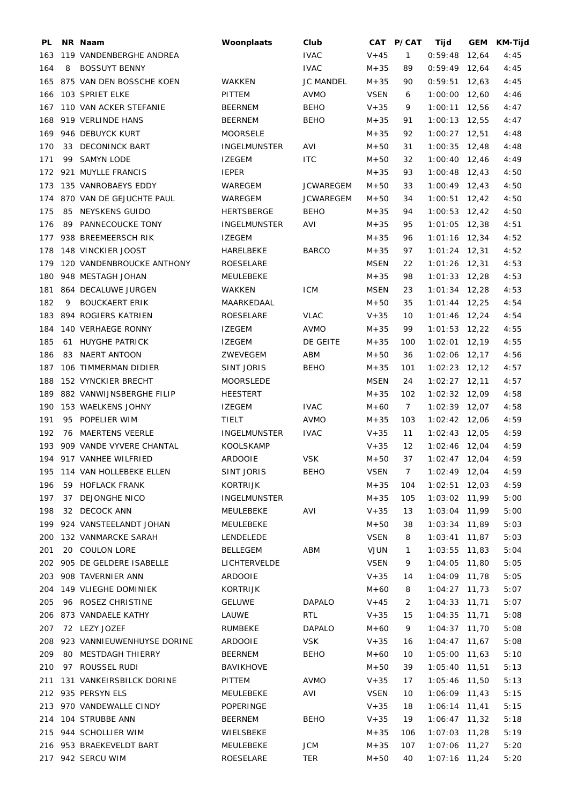| 163 119 VANDENBERGHE ANDREA<br><b>IVAC</b><br>$V + 45$<br>$\mathbf{1}$<br>$0:59:48$ 12,64<br>164<br>8<br><b>BOSSUYT BENNY</b><br><b>IVAC</b><br>$M + 35$<br>89<br>$0:59:49$ 12,64<br>165 875 VAN DEN BOSSCHE KOEN<br><b>JC MANDEL</b><br>$0:59:51$ 12,63<br>WAKKEN<br>$M + 35$<br>90<br>166 103 SPRIET ELKE<br>PITTEM<br>AVMO<br><b>VSEN</b><br>$1:00:00$ 12,60<br>6<br>167 110 VAN ACKER STEFANIE<br><b>BEHO</b><br>$V + 35$<br>$1:00:11$ 12,56<br><b>BEERNEM</b><br>9<br>168<br>919 VERLINDE HANS<br><b>BEERNEM</b><br><b>BEHO</b><br>$M + 35$<br>$1:00:13$ 12,55<br>91<br>169 946 DEBUYCK KURT<br><b>MOORSELE</b><br>$M + 35$<br>92<br>$1:00:27$ 12,51<br>170<br>33 DECONINCK BART<br>INGELMUNSTER<br>AVI<br>$M + 50$<br>$1:00:35$ 12,48<br>31<br>171<br>99 SAMYN LODE<br><b>IZEGEM</b><br><b>ITC</b><br>$M + 50$<br>32<br>$1:00:40$ 12,46<br>172 921 MUYLLE FRANCIS<br><b>IEPER</b><br>$M + 35$<br>93<br>$1:00:48$ 12,43<br>173 135 VANROBAEYS EDDY<br><b>JCWAREGEM</b><br>$M + 50$<br>$1:00:49$ 12,43<br>WAREGEM<br>33<br>174 870 VAN DE GEJUCHTE PAUL<br>WAREGEM<br><b>JCWAREGEM</b><br>$M + 50$<br>$1:00:51$ 12,42<br>34<br>175<br>85 NEYSKENS GUIDO<br><b>HERTSBERGE</b><br><b>BEHO</b><br>$M + 35$<br>$1:00:53$ 12,42<br>94<br>176<br>89 PANNECOUCKE TONY<br>$1:01:05$ 12,38<br><b>INGELMUNSTER</b><br>AVI<br>$M + 35$<br>95<br>177 938 BREEMEERSCH RIK<br><b>IZEGEM</b><br>$M + 35$<br>$1:01:16$ 12,34<br>96<br>178 148 VINCKIER JOOST<br><b>BARCO</b><br>HARELBEKE<br>$M + 35$<br>97<br>$1:01:24$ 12,31<br>179 120 VANDENBROUCKE ANTHONY<br>ROESELARE<br><b>MSEN</b><br>22<br>$1:01:26$ 12,31<br>180 948 MESTAGH JOHAN<br>$1:01:33$ 12,28<br>MEULEBEKE<br>$M + 35$<br>98<br>181 864 DECALUWE JURGEN<br><b>ICM</b><br><b>MSEN</b><br><b>WAKKEN</b><br>23<br>$1:01:34$ 12,28<br>182<br>9<br><b>BOUCKAERT ERIK</b><br>MAARKEDAAL<br>$M + 50$<br>$1:01:44$ 12,25<br>35<br>183 894 ROGIERS KATRIEN<br>ROESELARE<br><b>VLAC</b><br>$V + 35$<br>$1:01:46$ 12,24<br>10<br>184 140 VERHAEGE RONNY<br><b>AVMO</b><br>99<br>$1:01:53$ 12,22<br>IZEGEM<br>$M + 35$<br>185<br>61 HUYGHE PATRICK<br><b>IZEGEM</b><br>DE GEITE<br>$M + 35$<br>$1:02:01$ 12,19<br>100<br>83 NAERT ANTOON<br>186<br>ZWEVEGEM<br>ABM<br>$M + 50$<br>$1:02:06$ 12,17<br>36<br>187 106 TIMMERMAN DIDIER<br>$1:02:23$ 12,12<br>SINT JORIS<br><b>BEHO</b><br>$M + 35$<br>101<br>188<br>152 VYNCKIER BRECHT<br>MOORSLEDE<br><b>MSEN</b><br>$1:02:27$ 12,11<br>24<br>189 882 VANWIJNSBERGHE FILIP<br><b>HEESTERT</b><br>$M + 35$<br>$1:02:32$ 12,09<br>102<br>190 153 WAELKENS JOHNY<br><b>IZEGEM</b><br><b>IVAC</b><br>$M + 60$<br>$7\overline{ }$<br>$1:02:39$ 12,07<br>191<br>95 POPELIER WIM<br><b>AVMO</b><br>TIELT<br>$M + 35$<br>103<br>$1:02:42$ 12,06<br>192<br>76 MAERTENS VEERLE<br><b>IVAC</b><br>$V + 35$<br>$1:02:43$ 12,05<br><b>INGELMUNSTER</b><br>11<br>193 909 VANDE VYVERE CHANTAL<br>KOOLSKAMP<br>$V + 35$<br>12<br>$1:02:46$ 12,04<br>194 917 VANHEE WILFRIED<br><b>ARDOOIE</b><br><b>VSK</b><br>$M + 50$<br>37<br>$1:02:47$ 12,04<br>195 114 VAN HOLLEBEKE ELLEN<br><b>SINT JORIS</b><br><b>VSEN</b><br>BEHO<br>$\overline{7}$<br>$1:02:49$ 12,04<br>$M + 35$<br>196<br>59 HOFLACK FRANK<br>KORTRIJK<br>104<br>$1:02:51$ 12,03<br>197<br>37 DEJONGHE NICO<br><b>INGELMUNSTER</b><br>$M + 35$<br>1:03:02 11,99<br>105<br>32 DECOCK ANN<br>AVI<br>$1:03:04$ 11,99<br>198<br>MEULEBEKE<br>$V + 35$<br>13<br>199 924 VANSTEELANDT JOHAN<br>1:03:34 11,89<br>MEULEBEKE<br>$M + 50$<br>38<br>200 132 VANMARCKE SARAH<br><b>VSEN</b><br>$1:03:41$ 11,87<br>LENDELEDE<br>8<br>201<br>20 COULON LORE<br>ABM<br><b>VJUN</b><br>$1:03:55$ 11,83<br>BELLEGEM<br>$\mathbf{1}$<br>202 905 DE GELDERE ISABELLE<br>LICHTERVELDE<br><b>VSEN</b><br>9<br>$1:04:05$ 11,80<br>203 908 TAVERNIER ANN<br>$V + 35$<br>1:04:09 11,78<br>ARDOOIE<br>14<br>204 149 VLIEGHE DOMINIEK<br>KORTRIJK<br>$M + 60$<br>$1:04:27$ 11,73<br>8 |                    |               |               |          |   |                 | GEM<br><b>KM-Tijd</b> |
|-----------------------------------------------------------------------------------------------------------------------------------------------------------------------------------------------------------------------------------------------------------------------------------------------------------------------------------------------------------------------------------------------------------------------------------------------------------------------------------------------------------------------------------------------------------------------------------------------------------------------------------------------------------------------------------------------------------------------------------------------------------------------------------------------------------------------------------------------------------------------------------------------------------------------------------------------------------------------------------------------------------------------------------------------------------------------------------------------------------------------------------------------------------------------------------------------------------------------------------------------------------------------------------------------------------------------------------------------------------------------------------------------------------------------------------------------------------------------------------------------------------------------------------------------------------------------------------------------------------------------------------------------------------------------------------------------------------------------------------------------------------------------------------------------------------------------------------------------------------------------------------------------------------------------------------------------------------------------------------------------------------------------------------------------------------------------------------------------------------------------------------------------------------------------------------------------------------------------------------------------------------------------------------------------------------------------------------------------------------------------------------------------------------------------------------------------------------------------------------------------------------------------------------------------------------------------------------------------------------------------------------------------------------------------------------------------------------------------------------------------------------------------------------------------------------------------------------------------------------------------------------------------------------------------------------------------------------------------------------------------------------------------------------------------------------------------------------------------------------------------------------------------------------------------------------------------------------------------------------------------------------------------------------------------------------------------------------------------------------------------------------------------------------------------------------------------------------------------------------------------------------------------------------------------------------------------------------------------------------------------------------------------------------------------------------------------------------------------------------------------------------------------------------------------------------------------------------------------------------------------------------------------------|--------------------|---------------|---------------|----------|---|-----------------|-----------------------|
|                                                                                                                                                                                                                                                                                                                                                                                                                                                                                                                                                                                                                                                                                                                                                                                                                                                                                                                                                                                                                                                                                                                                                                                                                                                                                                                                                                                                                                                                                                                                                                                                                                                                                                                                                                                                                                                                                                                                                                                                                                                                                                                                                                                                                                                                                                                                                                                                                                                                                                                                                                                                                                                                                                                                                                                                                                                                                                                                                                                                                                                                                                                                                                                                                                                                                                                                                                                                                                                                                                                                                                                                                                                                                                                                                                                                                                                                                                     |                    |               |               |          |   |                 | 4:45                  |
|                                                                                                                                                                                                                                                                                                                                                                                                                                                                                                                                                                                                                                                                                                                                                                                                                                                                                                                                                                                                                                                                                                                                                                                                                                                                                                                                                                                                                                                                                                                                                                                                                                                                                                                                                                                                                                                                                                                                                                                                                                                                                                                                                                                                                                                                                                                                                                                                                                                                                                                                                                                                                                                                                                                                                                                                                                                                                                                                                                                                                                                                                                                                                                                                                                                                                                                                                                                                                                                                                                                                                                                                                                                                                                                                                                                                                                                                                                     |                    |               |               |          |   |                 | 4:45                  |
|                                                                                                                                                                                                                                                                                                                                                                                                                                                                                                                                                                                                                                                                                                                                                                                                                                                                                                                                                                                                                                                                                                                                                                                                                                                                                                                                                                                                                                                                                                                                                                                                                                                                                                                                                                                                                                                                                                                                                                                                                                                                                                                                                                                                                                                                                                                                                                                                                                                                                                                                                                                                                                                                                                                                                                                                                                                                                                                                                                                                                                                                                                                                                                                                                                                                                                                                                                                                                                                                                                                                                                                                                                                                                                                                                                                                                                                                                                     |                    |               |               |          |   |                 | 4:45                  |
|                                                                                                                                                                                                                                                                                                                                                                                                                                                                                                                                                                                                                                                                                                                                                                                                                                                                                                                                                                                                                                                                                                                                                                                                                                                                                                                                                                                                                                                                                                                                                                                                                                                                                                                                                                                                                                                                                                                                                                                                                                                                                                                                                                                                                                                                                                                                                                                                                                                                                                                                                                                                                                                                                                                                                                                                                                                                                                                                                                                                                                                                                                                                                                                                                                                                                                                                                                                                                                                                                                                                                                                                                                                                                                                                                                                                                                                                                                     |                    |               |               |          |   |                 | 4:46                  |
|                                                                                                                                                                                                                                                                                                                                                                                                                                                                                                                                                                                                                                                                                                                                                                                                                                                                                                                                                                                                                                                                                                                                                                                                                                                                                                                                                                                                                                                                                                                                                                                                                                                                                                                                                                                                                                                                                                                                                                                                                                                                                                                                                                                                                                                                                                                                                                                                                                                                                                                                                                                                                                                                                                                                                                                                                                                                                                                                                                                                                                                                                                                                                                                                                                                                                                                                                                                                                                                                                                                                                                                                                                                                                                                                                                                                                                                                                                     |                    |               |               |          |   |                 | 4:47                  |
|                                                                                                                                                                                                                                                                                                                                                                                                                                                                                                                                                                                                                                                                                                                                                                                                                                                                                                                                                                                                                                                                                                                                                                                                                                                                                                                                                                                                                                                                                                                                                                                                                                                                                                                                                                                                                                                                                                                                                                                                                                                                                                                                                                                                                                                                                                                                                                                                                                                                                                                                                                                                                                                                                                                                                                                                                                                                                                                                                                                                                                                                                                                                                                                                                                                                                                                                                                                                                                                                                                                                                                                                                                                                                                                                                                                                                                                                                                     |                    |               |               |          |   |                 | 4:47                  |
|                                                                                                                                                                                                                                                                                                                                                                                                                                                                                                                                                                                                                                                                                                                                                                                                                                                                                                                                                                                                                                                                                                                                                                                                                                                                                                                                                                                                                                                                                                                                                                                                                                                                                                                                                                                                                                                                                                                                                                                                                                                                                                                                                                                                                                                                                                                                                                                                                                                                                                                                                                                                                                                                                                                                                                                                                                                                                                                                                                                                                                                                                                                                                                                                                                                                                                                                                                                                                                                                                                                                                                                                                                                                                                                                                                                                                                                                                                     |                    |               |               |          |   |                 | 4:48                  |
|                                                                                                                                                                                                                                                                                                                                                                                                                                                                                                                                                                                                                                                                                                                                                                                                                                                                                                                                                                                                                                                                                                                                                                                                                                                                                                                                                                                                                                                                                                                                                                                                                                                                                                                                                                                                                                                                                                                                                                                                                                                                                                                                                                                                                                                                                                                                                                                                                                                                                                                                                                                                                                                                                                                                                                                                                                                                                                                                                                                                                                                                                                                                                                                                                                                                                                                                                                                                                                                                                                                                                                                                                                                                                                                                                                                                                                                                                                     |                    |               |               |          |   |                 | 4:48                  |
|                                                                                                                                                                                                                                                                                                                                                                                                                                                                                                                                                                                                                                                                                                                                                                                                                                                                                                                                                                                                                                                                                                                                                                                                                                                                                                                                                                                                                                                                                                                                                                                                                                                                                                                                                                                                                                                                                                                                                                                                                                                                                                                                                                                                                                                                                                                                                                                                                                                                                                                                                                                                                                                                                                                                                                                                                                                                                                                                                                                                                                                                                                                                                                                                                                                                                                                                                                                                                                                                                                                                                                                                                                                                                                                                                                                                                                                                                                     |                    |               |               |          |   |                 | 4:49                  |
|                                                                                                                                                                                                                                                                                                                                                                                                                                                                                                                                                                                                                                                                                                                                                                                                                                                                                                                                                                                                                                                                                                                                                                                                                                                                                                                                                                                                                                                                                                                                                                                                                                                                                                                                                                                                                                                                                                                                                                                                                                                                                                                                                                                                                                                                                                                                                                                                                                                                                                                                                                                                                                                                                                                                                                                                                                                                                                                                                                                                                                                                                                                                                                                                                                                                                                                                                                                                                                                                                                                                                                                                                                                                                                                                                                                                                                                                                                     |                    |               |               |          |   |                 | 4:50                  |
|                                                                                                                                                                                                                                                                                                                                                                                                                                                                                                                                                                                                                                                                                                                                                                                                                                                                                                                                                                                                                                                                                                                                                                                                                                                                                                                                                                                                                                                                                                                                                                                                                                                                                                                                                                                                                                                                                                                                                                                                                                                                                                                                                                                                                                                                                                                                                                                                                                                                                                                                                                                                                                                                                                                                                                                                                                                                                                                                                                                                                                                                                                                                                                                                                                                                                                                                                                                                                                                                                                                                                                                                                                                                                                                                                                                                                                                                                                     |                    |               |               |          |   |                 | 4:50                  |
|                                                                                                                                                                                                                                                                                                                                                                                                                                                                                                                                                                                                                                                                                                                                                                                                                                                                                                                                                                                                                                                                                                                                                                                                                                                                                                                                                                                                                                                                                                                                                                                                                                                                                                                                                                                                                                                                                                                                                                                                                                                                                                                                                                                                                                                                                                                                                                                                                                                                                                                                                                                                                                                                                                                                                                                                                                                                                                                                                                                                                                                                                                                                                                                                                                                                                                                                                                                                                                                                                                                                                                                                                                                                                                                                                                                                                                                                                                     |                    |               |               |          |   |                 | 4:50                  |
|                                                                                                                                                                                                                                                                                                                                                                                                                                                                                                                                                                                                                                                                                                                                                                                                                                                                                                                                                                                                                                                                                                                                                                                                                                                                                                                                                                                                                                                                                                                                                                                                                                                                                                                                                                                                                                                                                                                                                                                                                                                                                                                                                                                                                                                                                                                                                                                                                                                                                                                                                                                                                                                                                                                                                                                                                                                                                                                                                                                                                                                                                                                                                                                                                                                                                                                                                                                                                                                                                                                                                                                                                                                                                                                                                                                                                                                                                                     |                    |               |               |          |   |                 | 4:50                  |
|                                                                                                                                                                                                                                                                                                                                                                                                                                                                                                                                                                                                                                                                                                                                                                                                                                                                                                                                                                                                                                                                                                                                                                                                                                                                                                                                                                                                                                                                                                                                                                                                                                                                                                                                                                                                                                                                                                                                                                                                                                                                                                                                                                                                                                                                                                                                                                                                                                                                                                                                                                                                                                                                                                                                                                                                                                                                                                                                                                                                                                                                                                                                                                                                                                                                                                                                                                                                                                                                                                                                                                                                                                                                                                                                                                                                                                                                                                     |                    |               |               |          |   |                 | 4:51                  |
|                                                                                                                                                                                                                                                                                                                                                                                                                                                                                                                                                                                                                                                                                                                                                                                                                                                                                                                                                                                                                                                                                                                                                                                                                                                                                                                                                                                                                                                                                                                                                                                                                                                                                                                                                                                                                                                                                                                                                                                                                                                                                                                                                                                                                                                                                                                                                                                                                                                                                                                                                                                                                                                                                                                                                                                                                                                                                                                                                                                                                                                                                                                                                                                                                                                                                                                                                                                                                                                                                                                                                                                                                                                                                                                                                                                                                                                                                                     |                    |               |               |          |   |                 | 4:52                  |
|                                                                                                                                                                                                                                                                                                                                                                                                                                                                                                                                                                                                                                                                                                                                                                                                                                                                                                                                                                                                                                                                                                                                                                                                                                                                                                                                                                                                                                                                                                                                                                                                                                                                                                                                                                                                                                                                                                                                                                                                                                                                                                                                                                                                                                                                                                                                                                                                                                                                                                                                                                                                                                                                                                                                                                                                                                                                                                                                                                                                                                                                                                                                                                                                                                                                                                                                                                                                                                                                                                                                                                                                                                                                                                                                                                                                                                                                                                     |                    |               |               |          |   |                 | 4:52                  |
|                                                                                                                                                                                                                                                                                                                                                                                                                                                                                                                                                                                                                                                                                                                                                                                                                                                                                                                                                                                                                                                                                                                                                                                                                                                                                                                                                                                                                                                                                                                                                                                                                                                                                                                                                                                                                                                                                                                                                                                                                                                                                                                                                                                                                                                                                                                                                                                                                                                                                                                                                                                                                                                                                                                                                                                                                                                                                                                                                                                                                                                                                                                                                                                                                                                                                                                                                                                                                                                                                                                                                                                                                                                                                                                                                                                                                                                                                                     |                    |               |               |          |   |                 | 4:53                  |
|                                                                                                                                                                                                                                                                                                                                                                                                                                                                                                                                                                                                                                                                                                                                                                                                                                                                                                                                                                                                                                                                                                                                                                                                                                                                                                                                                                                                                                                                                                                                                                                                                                                                                                                                                                                                                                                                                                                                                                                                                                                                                                                                                                                                                                                                                                                                                                                                                                                                                                                                                                                                                                                                                                                                                                                                                                                                                                                                                                                                                                                                                                                                                                                                                                                                                                                                                                                                                                                                                                                                                                                                                                                                                                                                                                                                                                                                                                     |                    |               |               |          |   |                 | 4:53                  |
|                                                                                                                                                                                                                                                                                                                                                                                                                                                                                                                                                                                                                                                                                                                                                                                                                                                                                                                                                                                                                                                                                                                                                                                                                                                                                                                                                                                                                                                                                                                                                                                                                                                                                                                                                                                                                                                                                                                                                                                                                                                                                                                                                                                                                                                                                                                                                                                                                                                                                                                                                                                                                                                                                                                                                                                                                                                                                                                                                                                                                                                                                                                                                                                                                                                                                                                                                                                                                                                                                                                                                                                                                                                                                                                                                                                                                                                                                                     |                    |               |               |          |   |                 |                       |
|                                                                                                                                                                                                                                                                                                                                                                                                                                                                                                                                                                                                                                                                                                                                                                                                                                                                                                                                                                                                                                                                                                                                                                                                                                                                                                                                                                                                                                                                                                                                                                                                                                                                                                                                                                                                                                                                                                                                                                                                                                                                                                                                                                                                                                                                                                                                                                                                                                                                                                                                                                                                                                                                                                                                                                                                                                                                                                                                                                                                                                                                                                                                                                                                                                                                                                                                                                                                                                                                                                                                                                                                                                                                                                                                                                                                                                                                                                     |                    |               |               |          |   |                 | 4:53                  |
|                                                                                                                                                                                                                                                                                                                                                                                                                                                                                                                                                                                                                                                                                                                                                                                                                                                                                                                                                                                                                                                                                                                                                                                                                                                                                                                                                                                                                                                                                                                                                                                                                                                                                                                                                                                                                                                                                                                                                                                                                                                                                                                                                                                                                                                                                                                                                                                                                                                                                                                                                                                                                                                                                                                                                                                                                                                                                                                                                                                                                                                                                                                                                                                                                                                                                                                                                                                                                                                                                                                                                                                                                                                                                                                                                                                                                                                                                                     |                    |               |               |          |   |                 | 4:54                  |
|                                                                                                                                                                                                                                                                                                                                                                                                                                                                                                                                                                                                                                                                                                                                                                                                                                                                                                                                                                                                                                                                                                                                                                                                                                                                                                                                                                                                                                                                                                                                                                                                                                                                                                                                                                                                                                                                                                                                                                                                                                                                                                                                                                                                                                                                                                                                                                                                                                                                                                                                                                                                                                                                                                                                                                                                                                                                                                                                                                                                                                                                                                                                                                                                                                                                                                                                                                                                                                                                                                                                                                                                                                                                                                                                                                                                                                                                                                     |                    |               |               |          |   |                 | 4:54                  |
|                                                                                                                                                                                                                                                                                                                                                                                                                                                                                                                                                                                                                                                                                                                                                                                                                                                                                                                                                                                                                                                                                                                                                                                                                                                                                                                                                                                                                                                                                                                                                                                                                                                                                                                                                                                                                                                                                                                                                                                                                                                                                                                                                                                                                                                                                                                                                                                                                                                                                                                                                                                                                                                                                                                                                                                                                                                                                                                                                                                                                                                                                                                                                                                                                                                                                                                                                                                                                                                                                                                                                                                                                                                                                                                                                                                                                                                                                                     |                    |               |               |          |   |                 | 4:55                  |
|                                                                                                                                                                                                                                                                                                                                                                                                                                                                                                                                                                                                                                                                                                                                                                                                                                                                                                                                                                                                                                                                                                                                                                                                                                                                                                                                                                                                                                                                                                                                                                                                                                                                                                                                                                                                                                                                                                                                                                                                                                                                                                                                                                                                                                                                                                                                                                                                                                                                                                                                                                                                                                                                                                                                                                                                                                                                                                                                                                                                                                                                                                                                                                                                                                                                                                                                                                                                                                                                                                                                                                                                                                                                                                                                                                                                                                                                                                     |                    |               |               |          |   |                 | 4:55                  |
|                                                                                                                                                                                                                                                                                                                                                                                                                                                                                                                                                                                                                                                                                                                                                                                                                                                                                                                                                                                                                                                                                                                                                                                                                                                                                                                                                                                                                                                                                                                                                                                                                                                                                                                                                                                                                                                                                                                                                                                                                                                                                                                                                                                                                                                                                                                                                                                                                                                                                                                                                                                                                                                                                                                                                                                                                                                                                                                                                                                                                                                                                                                                                                                                                                                                                                                                                                                                                                                                                                                                                                                                                                                                                                                                                                                                                                                                                                     |                    |               |               |          |   |                 | 4:56                  |
|                                                                                                                                                                                                                                                                                                                                                                                                                                                                                                                                                                                                                                                                                                                                                                                                                                                                                                                                                                                                                                                                                                                                                                                                                                                                                                                                                                                                                                                                                                                                                                                                                                                                                                                                                                                                                                                                                                                                                                                                                                                                                                                                                                                                                                                                                                                                                                                                                                                                                                                                                                                                                                                                                                                                                                                                                                                                                                                                                                                                                                                                                                                                                                                                                                                                                                                                                                                                                                                                                                                                                                                                                                                                                                                                                                                                                                                                                                     |                    |               |               |          |   |                 | 4:57                  |
|                                                                                                                                                                                                                                                                                                                                                                                                                                                                                                                                                                                                                                                                                                                                                                                                                                                                                                                                                                                                                                                                                                                                                                                                                                                                                                                                                                                                                                                                                                                                                                                                                                                                                                                                                                                                                                                                                                                                                                                                                                                                                                                                                                                                                                                                                                                                                                                                                                                                                                                                                                                                                                                                                                                                                                                                                                                                                                                                                                                                                                                                                                                                                                                                                                                                                                                                                                                                                                                                                                                                                                                                                                                                                                                                                                                                                                                                                                     |                    |               |               |          |   |                 | 4:57                  |
|                                                                                                                                                                                                                                                                                                                                                                                                                                                                                                                                                                                                                                                                                                                                                                                                                                                                                                                                                                                                                                                                                                                                                                                                                                                                                                                                                                                                                                                                                                                                                                                                                                                                                                                                                                                                                                                                                                                                                                                                                                                                                                                                                                                                                                                                                                                                                                                                                                                                                                                                                                                                                                                                                                                                                                                                                                                                                                                                                                                                                                                                                                                                                                                                                                                                                                                                                                                                                                                                                                                                                                                                                                                                                                                                                                                                                                                                                                     |                    |               |               |          |   |                 | 4:58                  |
|                                                                                                                                                                                                                                                                                                                                                                                                                                                                                                                                                                                                                                                                                                                                                                                                                                                                                                                                                                                                                                                                                                                                                                                                                                                                                                                                                                                                                                                                                                                                                                                                                                                                                                                                                                                                                                                                                                                                                                                                                                                                                                                                                                                                                                                                                                                                                                                                                                                                                                                                                                                                                                                                                                                                                                                                                                                                                                                                                                                                                                                                                                                                                                                                                                                                                                                                                                                                                                                                                                                                                                                                                                                                                                                                                                                                                                                                                                     |                    |               |               |          |   |                 | 4:58                  |
|                                                                                                                                                                                                                                                                                                                                                                                                                                                                                                                                                                                                                                                                                                                                                                                                                                                                                                                                                                                                                                                                                                                                                                                                                                                                                                                                                                                                                                                                                                                                                                                                                                                                                                                                                                                                                                                                                                                                                                                                                                                                                                                                                                                                                                                                                                                                                                                                                                                                                                                                                                                                                                                                                                                                                                                                                                                                                                                                                                                                                                                                                                                                                                                                                                                                                                                                                                                                                                                                                                                                                                                                                                                                                                                                                                                                                                                                                                     |                    |               |               |          |   |                 | 4:59                  |
|                                                                                                                                                                                                                                                                                                                                                                                                                                                                                                                                                                                                                                                                                                                                                                                                                                                                                                                                                                                                                                                                                                                                                                                                                                                                                                                                                                                                                                                                                                                                                                                                                                                                                                                                                                                                                                                                                                                                                                                                                                                                                                                                                                                                                                                                                                                                                                                                                                                                                                                                                                                                                                                                                                                                                                                                                                                                                                                                                                                                                                                                                                                                                                                                                                                                                                                                                                                                                                                                                                                                                                                                                                                                                                                                                                                                                                                                                                     |                    |               |               |          |   |                 | 4:59                  |
|                                                                                                                                                                                                                                                                                                                                                                                                                                                                                                                                                                                                                                                                                                                                                                                                                                                                                                                                                                                                                                                                                                                                                                                                                                                                                                                                                                                                                                                                                                                                                                                                                                                                                                                                                                                                                                                                                                                                                                                                                                                                                                                                                                                                                                                                                                                                                                                                                                                                                                                                                                                                                                                                                                                                                                                                                                                                                                                                                                                                                                                                                                                                                                                                                                                                                                                                                                                                                                                                                                                                                                                                                                                                                                                                                                                                                                                                                                     |                    |               |               |          |   |                 | 4:59                  |
|                                                                                                                                                                                                                                                                                                                                                                                                                                                                                                                                                                                                                                                                                                                                                                                                                                                                                                                                                                                                                                                                                                                                                                                                                                                                                                                                                                                                                                                                                                                                                                                                                                                                                                                                                                                                                                                                                                                                                                                                                                                                                                                                                                                                                                                                                                                                                                                                                                                                                                                                                                                                                                                                                                                                                                                                                                                                                                                                                                                                                                                                                                                                                                                                                                                                                                                                                                                                                                                                                                                                                                                                                                                                                                                                                                                                                                                                                                     |                    |               |               |          |   |                 | 4:59                  |
|                                                                                                                                                                                                                                                                                                                                                                                                                                                                                                                                                                                                                                                                                                                                                                                                                                                                                                                                                                                                                                                                                                                                                                                                                                                                                                                                                                                                                                                                                                                                                                                                                                                                                                                                                                                                                                                                                                                                                                                                                                                                                                                                                                                                                                                                                                                                                                                                                                                                                                                                                                                                                                                                                                                                                                                                                                                                                                                                                                                                                                                                                                                                                                                                                                                                                                                                                                                                                                                                                                                                                                                                                                                                                                                                                                                                                                                                                                     |                    |               |               |          |   |                 | 4:59                  |
|                                                                                                                                                                                                                                                                                                                                                                                                                                                                                                                                                                                                                                                                                                                                                                                                                                                                                                                                                                                                                                                                                                                                                                                                                                                                                                                                                                                                                                                                                                                                                                                                                                                                                                                                                                                                                                                                                                                                                                                                                                                                                                                                                                                                                                                                                                                                                                                                                                                                                                                                                                                                                                                                                                                                                                                                                                                                                                                                                                                                                                                                                                                                                                                                                                                                                                                                                                                                                                                                                                                                                                                                                                                                                                                                                                                                                                                                                                     |                    |               |               |          |   |                 | 4:59                  |
|                                                                                                                                                                                                                                                                                                                                                                                                                                                                                                                                                                                                                                                                                                                                                                                                                                                                                                                                                                                                                                                                                                                                                                                                                                                                                                                                                                                                                                                                                                                                                                                                                                                                                                                                                                                                                                                                                                                                                                                                                                                                                                                                                                                                                                                                                                                                                                                                                                                                                                                                                                                                                                                                                                                                                                                                                                                                                                                                                                                                                                                                                                                                                                                                                                                                                                                                                                                                                                                                                                                                                                                                                                                                                                                                                                                                                                                                                                     |                    |               |               |          |   |                 | 5:00                  |
|                                                                                                                                                                                                                                                                                                                                                                                                                                                                                                                                                                                                                                                                                                                                                                                                                                                                                                                                                                                                                                                                                                                                                                                                                                                                                                                                                                                                                                                                                                                                                                                                                                                                                                                                                                                                                                                                                                                                                                                                                                                                                                                                                                                                                                                                                                                                                                                                                                                                                                                                                                                                                                                                                                                                                                                                                                                                                                                                                                                                                                                                                                                                                                                                                                                                                                                                                                                                                                                                                                                                                                                                                                                                                                                                                                                                                                                                                                     |                    |               |               |          |   |                 | 5:00                  |
|                                                                                                                                                                                                                                                                                                                                                                                                                                                                                                                                                                                                                                                                                                                                                                                                                                                                                                                                                                                                                                                                                                                                                                                                                                                                                                                                                                                                                                                                                                                                                                                                                                                                                                                                                                                                                                                                                                                                                                                                                                                                                                                                                                                                                                                                                                                                                                                                                                                                                                                                                                                                                                                                                                                                                                                                                                                                                                                                                                                                                                                                                                                                                                                                                                                                                                                                                                                                                                                                                                                                                                                                                                                                                                                                                                                                                                                                                                     |                    |               |               |          |   |                 | 5:03                  |
|                                                                                                                                                                                                                                                                                                                                                                                                                                                                                                                                                                                                                                                                                                                                                                                                                                                                                                                                                                                                                                                                                                                                                                                                                                                                                                                                                                                                                                                                                                                                                                                                                                                                                                                                                                                                                                                                                                                                                                                                                                                                                                                                                                                                                                                                                                                                                                                                                                                                                                                                                                                                                                                                                                                                                                                                                                                                                                                                                                                                                                                                                                                                                                                                                                                                                                                                                                                                                                                                                                                                                                                                                                                                                                                                                                                                                                                                                                     |                    |               |               |          |   |                 | 5:03                  |
|                                                                                                                                                                                                                                                                                                                                                                                                                                                                                                                                                                                                                                                                                                                                                                                                                                                                                                                                                                                                                                                                                                                                                                                                                                                                                                                                                                                                                                                                                                                                                                                                                                                                                                                                                                                                                                                                                                                                                                                                                                                                                                                                                                                                                                                                                                                                                                                                                                                                                                                                                                                                                                                                                                                                                                                                                                                                                                                                                                                                                                                                                                                                                                                                                                                                                                                                                                                                                                                                                                                                                                                                                                                                                                                                                                                                                                                                                                     |                    |               |               |          |   |                 | 5:04                  |
|                                                                                                                                                                                                                                                                                                                                                                                                                                                                                                                                                                                                                                                                                                                                                                                                                                                                                                                                                                                                                                                                                                                                                                                                                                                                                                                                                                                                                                                                                                                                                                                                                                                                                                                                                                                                                                                                                                                                                                                                                                                                                                                                                                                                                                                                                                                                                                                                                                                                                                                                                                                                                                                                                                                                                                                                                                                                                                                                                                                                                                                                                                                                                                                                                                                                                                                                                                                                                                                                                                                                                                                                                                                                                                                                                                                                                                                                                                     |                    |               |               |          |   |                 | 5:05                  |
|                                                                                                                                                                                                                                                                                                                                                                                                                                                                                                                                                                                                                                                                                                                                                                                                                                                                                                                                                                                                                                                                                                                                                                                                                                                                                                                                                                                                                                                                                                                                                                                                                                                                                                                                                                                                                                                                                                                                                                                                                                                                                                                                                                                                                                                                                                                                                                                                                                                                                                                                                                                                                                                                                                                                                                                                                                                                                                                                                                                                                                                                                                                                                                                                                                                                                                                                                                                                                                                                                                                                                                                                                                                                                                                                                                                                                                                                                                     |                    |               |               |          |   |                 | 5:05                  |
|                                                                                                                                                                                                                                                                                                                                                                                                                                                                                                                                                                                                                                                                                                                                                                                                                                                                                                                                                                                                                                                                                                                                                                                                                                                                                                                                                                                                                                                                                                                                                                                                                                                                                                                                                                                                                                                                                                                                                                                                                                                                                                                                                                                                                                                                                                                                                                                                                                                                                                                                                                                                                                                                                                                                                                                                                                                                                                                                                                                                                                                                                                                                                                                                                                                                                                                                                                                                                                                                                                                                                                                                                                                                                                                                                                                                                                                                                                     |                    |               |               |          |   |                 | 5:07                  |
| 205                                                                                                                                                                                                                                                                                                                                                                                                                                                                                                                                                                                                                                                                                                                                                                                                                                                                                                                                                                                                                                                                                                                                                                                                                                                                                                                                                                                                                                                                                                                                                                                                                                                                                                                                                                                                                                                                                                                                                                                                                                                                                                                                                                                                                                                                                                                                                                                                                                                                                                                                                                                                                                                                                                                                                                                                                                                                                                                                                                                                                                                                                                                                                                                                                                                                                                                                                                                                                                                                                                                                                                                                                                                                                                                                                                                                                                                                                                 | 96 ROSEZ CHRISTINE | <b>GELUWE</b> | <b>DAPALO</b> | $V + 45$ | 2 | $1:04:33$ 11,71 | 5:07                  |
| 206 873 VANDAELE KATHY<br>RTL<br>$1:04:35$ 11,71<br>LAUWE<br>$V + 35$<br>15                                                                                                                                                                                                                                                                                                                                                                                                                                                                                                                                                                                                                                                                                                                                                                                                                                                                                                                                                                                                                                                                                                                                                                                                                                                                                                                                                                                                                                                                                                                                                                                                                                                                                                                                                                                                                                                                                                                                                                                                                                                                                                                                                                                                                                                                                                                                                                                                                                                                                                                                                                                                                                                                                                                                                                                                                                                                                                                                                                                                                                                                                                                                                                                                                                                                                                                                                                                                                                                                                                                                                                                                                                                                                                                                                                                                                         |                    |               |               |          |   |                 | 5:08                  |
| 72 LEZY JOZEF<br><b>RUMBEKE</b><br><b>DAPALO</b><br>$M + 60$<br>$1:04:37$ 11,70<br>207<br>9                                                                                                                                                                                                                                                                                                                                                                                                                                                                                                                                                                                                                                                                                                                                                                                                                                                                                                                                                                                                                                                                                                                                                                                                                                                                                                                                                                                                                                                                                                                                                                                                                                                                                                                                                                                                                                                                                                                                                                                                                                                                                                                                                                                                                                                                                                                                                                                                                                                                                                                                                                                                                                                                                                                                                                                                                                                                                                                                                                                                                                                                                                                                                                                                                                                                                                                                                                                                                                                                                                                                                                                                                                                                                                                                                                                                         |                    |               |               |          |   |                 | 5:08                  |
| 923 VANNIEUWENHUYSE DORINE<br><b>VSK</b><br>$1:04:47$ 11,67<br>208<br>ARDOOIE<br>$V + 35$<br>16                                                                                                                                                                                                                                                                                                                                                                                                                                                                                                                                                                                                                                                                                                                                                                                                                                                                                                                                                                                                                                                                                                                                                                                                                                                                                                                                                                                                                                                                                                                                                                                                                                                                                                                                                                                                                                                                                                                                                                                                                                                                                                                                                                                                                                                                                                                                                                                                                                                                                                                                                                                                                                                                                                                                                                                                                                                                                                                                                                                                                                                                                                                                                                                                                                                                                                                                                                                                                                                                                                                                                                                                                                                                                                                                                                                                     |                    |               |               |          |   |                 | 5:08                  |
| 209<br>80 MESTDAGH THIERRY<br>$M + 60$<br>$1:05:00$ 11,63<br>BEERNEM<br>BEHO<br>10                                                                                                                                                                                                                                                                                                                                                                                                                                                                                                                                                                                                                                                                                                                                                                                                                                                                                                                                                                                                                                                                                                                                                                                                                                                                                                                                                                                                                                                                                                                                                                                                                                                                                                                                                                                                                                                                                                                                                                                                                                                                                                                                                                                                                                                                                                                                                                                                                                                                                                                                                                                                                                                                                                                                                                                                                                                                                                                                                                                                                                                                                                                                                                                                                                                                                                                                                                                                                                                                                                                                                                                                                                                                                                                                                                                                                  |                    |               |               |          |   |                 | 5:10                  |
| 97 ROUSSEL RUDI<br>$M + 50$<br>$1:05:40$ 11,51<br>210<br><b>BAVIKHOVE</b><br>39                                                                                                                                                                                                                                                                                                                                                                                                                                                                                                                                                                                                                                                                                                                                                                                                                                                                                                                                                                                                                                                                                                                                                                                                                                                                                                                                                                                                                                                                                                                                                                                                                                                                                                                                                                                                                                                                                                                                                                                                                                                                                                                                                                                                                                                                                                                                                                                                                                                                                                                                                                                                                                                                                                                                                                                                                                                                                                                                                                                                                                                                                                                                                                                                                                                                                                                                                                                                                                                                                                                                                                                                                                                                                                                                                                                                                     |                    |               |               |          |   |                 | 5:13                  |
| 211 131 VANKEIRSBILCK DORINE<br><b>AVMO</b><br>PITTEM<br>$V + 35$<br>1:05:46 11,50<br>17                                                                                                                                                                                                                                                                                                                                                                                                                                                                                                                                                                                                                                                                                                                                                                                                                                                                                                                                                                                                                                                                                                                                                                                                                                                                                                                                                                                                                                                                                                                                                                                                                                                                                                                                                                                                                                                                                                                                                                                                                                                                                                                                                                                                                                                                                                                                                                                                                                                                                                                                                                                                                                                                                                                                                                                                                                                                                                                                                                                                                                                                                                                                                                                                                                                                                                                                                                                                                                                                                                                                                                                                                                                                                                                                                                                                            |                    |               |               |          |   |                 | 5:13                  |
| 212 935 PERSYN ELS<br>AVI<br>$1:06:09$ 11,43<br>MEULEBEKE<br>VSEN<br>10                                                                                                                                                                                                                                                                                                                                                                                                                                                                                                                                                                                                                                                                                                                                                                                                                                                                                                                                                                                                                                                                                                                                                                                                                                                                                                                                                                                                                                                                                                                                                                                                                                                                                                                                                                                                                                                                                                                                                                                                                                                                                                                                                                                                                                                                                                                                                                                                                                                                                                                                                                                                                                                                                                                                                                                                                                                                                                                                                                                                                                                                                                                                                                                                                                                                                                                                                                                                                                                                                                                                                                                                                                                                                                                                                                                                                             |                    |               |               |          |   |                 | 5:15                  |
| 213 970 VANDEWALLE CINDY<br>POPERINGE<br>$V + 35$<br>$1:06:14$ 11,41<br>18                                                                                                                                                                                                                                                                                                                                                                                                                                                                                                                                                                                                                                                                                                                                                                                                                                                                                                                                                                                                                                                                                                                                                                                                                                                                                                                                                                                                                                                                                                                                                                                                                                                                                                                                                                                                                                                                                                                                                                                                                                                                                                                                                                                                                                                                                                                                                                                                                                                                                                                                                                                                                                                                                                                                                                                                                                                                                                                                                                                                                                                                                                                                                                                                                                                                                                                                                                                                                                                                                                                                                                                                                                                                                                                                                                                                                          |                    |               |               |          |   |                 | 5:15                  |
| 214 104 STRUBBE ANN<br>$1:06:47$ 11,32<br>BEERNEM<br><b>BEHO</b><br>$V + 35$<br>19                                                                                                                                                                                                                                                                                                                                                                                                                                                                                                                                                                                                                                                                                                                                                                                                                                                                                                                                                                                                                                                                                                                                                                                                                                                                                                                                                                                                                                                                                                                                                                                                                                                                                                                                                                                                                                                                                                                                                                                                                                                                                                                                                                                                                                                                                                                                                                                                                                                                                                                                                                                                                                                                                                                                                                                                                                                                                                                                                                                                                                                                                                                                                                                                                                                                                                                                                                                                                                                                                                                                                                                                                                                                                                                                                                                                                  |                    |               |               |          |   |                 | 5:18                  |
| 215 944 SCHOLLIER WIM<br>$1:07:03$ 11,28<br>WIELSBEKE<br>$M + 35$<br>106                                                                                                                                                                                                                                                                                                                                                                                                                                                                                                                                                                                                                                                                                                                                                                                                                                                                                                                                                                                                                                                                                                                                                                                                                                                                                                                                                                                                                                                                                                                                                                                                                                                                                                                                                                                                                                                                                                                                                                                                                                                                                                                                                                                                                                                                                                                                                                                                                                                                                                                                                                                                                                                                                                                                                                                                                                                                                                                                                                                                                                                                                                                                                                                                                                                                                                                                                                                                                                                                                                                                                                                                                                                                                                                                                                                                                            |                    |               |               |          |   |                 | 5:19                  |
| 216 953 BRAEKEVELDT BART<br><b>JCM</b><br>MEULEBEKE<br>$M + 35$<br>107<br>$1:07:06$ 11,27                                                                                                                                                                                                                                                                                                                                                                                                                                                                                                                                                                                                                                                                                                                                                                                                                                                                                                                                                                                                                                                                                                                                                                                                                                                                                                                                                                                                                                                                                                                                                                                                                                                                                                                                                                                                                                                                                                                                                                                                                                                                                                                                                                                                                                                                                                                                                                                                                                                                                                                                                                                                                                                                                                                                                                                                                                                                                                                                                                                                                                                                                                                                                                                                                                                                                                                                                                                                                                                                                                                                                                                                                                                                                                                                                                                                           |                    |               |               |          |   |                 | 5:20                  |
| 217 942 SERCU WIM<br>TER<br>ROESELARE<br>$M + 50$<br>40<br>$1:07:16$ 11,24                                                                                                                                                                                                                                                                                                                                                                                                                                                                                                                                                                                                                                                                                                                                                                                                                                                                                                                                                                                                                                                                                                                                                                                                                                                                                                                                                                                                                                                                                                                                                                                                                                                                                                                                                                                                                                                                                                                                                                                                                                                                                                                                                                                                                                                                                                                                                                                                                                                                                                                                                                                                                                                                                                                                                                                                                                                                                                                                                                                                                                                                                                                                                                                                                                                                                                                                                                                                                                                                                                                                                                                                                                                                                                                                                                                                                          |                    |               |               |          |   |                 | 5:20                  |